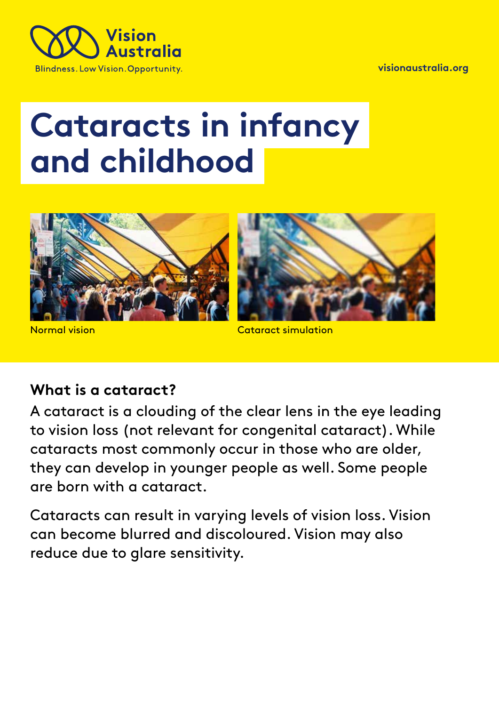**visionaustralia.org** 



# **Cataracts in infancy and childhood**



Normal vision

Cataract simulation

#### **What is a cataract?**

A cataract is a clouding of the clear lens in the eye leading to vision loss (not relevant for congenital cataract). While cataracts most commonly occur in those who are older, they can develop in younger people as well. Some people are born with a cataract.

Cataracts can result in varying levels of vision loss. Vision can become blurred and discoloured. Vision may also reduce due to glare sensitivity.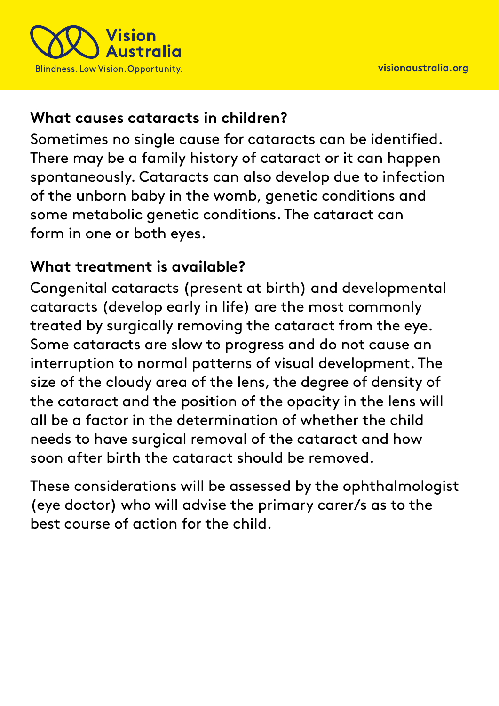

### **What causes cataracts in children?**

Sometimes no single cause for cataracts can be identified. There may be a family history of cataract or it can happen spontaneously. Cataracts can also develop due to infection of the unborn baby in the womb, genetic conditions and some metabolic genetic conditions. The cataract can form in one or both eyes.

### **What treatment is available?**

Congenital cataracts (present at birth) and developmental cataracts (develop early in life) are the most commonly treated by surgically removing the cataract from the eye. Some cataracts are slow to progress and do not cause an interruption to normal patterns of visual development. The size of the cloudy area of the lens, the degree of density of the cataract and the position of the opacity in the lens will all be a factor in the determination of whether the child needs to have surgical removal of the cataract and how soon after birth the cataract should be removed.

These considerations will be assessed by the ophthalmologist (eye doctor) who will advise the primary carer/s as to the best course of action for the child.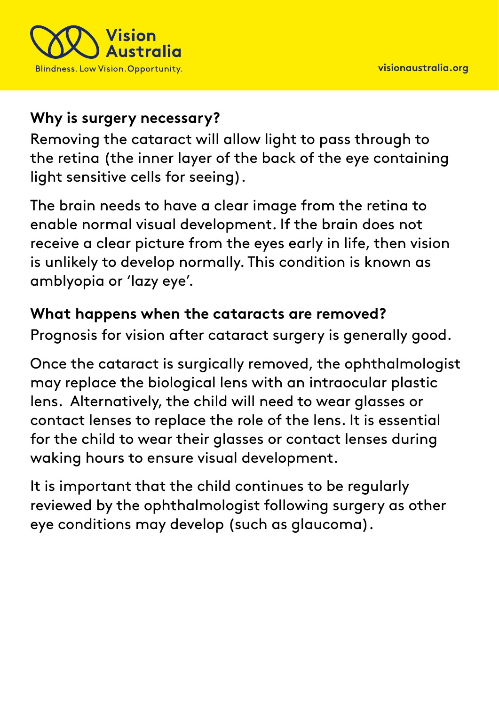

## **Why is surgery necessary?**

Removing the cataract will allow light to pass through to the retina (the inner layer of the back of the eye containing light sensitive cells for seeing).

The brain needs to have a clear image from the retina to enable normal visual development. If the brain does not receive a clear picture from the eyes early in life, then vision is unlikely to develop normally. This condition is known as amblyopia or 'lazy eye'.

### **What happens when the cataracts are removed?**

Prognosis for vision after cataract surgery is generally good.

Once the cataract is surgically removed, the ophthalmologist may replace the biological lens with an intraocular plastic lens. Alternatively, the child will need to wear glasses or contact lenses to replace the role of the lens. It is essential for the child to wear their glasses or contact lenses during waking hours to ensure visual development.

It is important that the child continues to be regularly reviewed by the ophthalmologist following surgery as other eye conditions may develop (such as glaucoma).